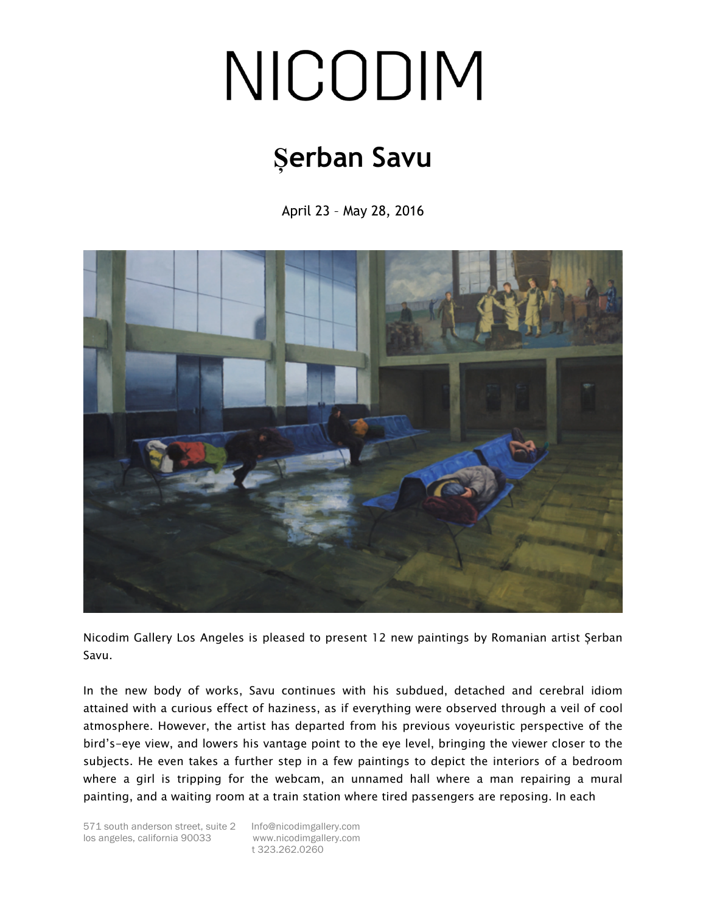## NICODIM

## **Șerban Savu**

April 23 – May 28, 2016



Nicodim Gallery Los Angeles is pleased to present 12 new paintings by Romanian artist Șerban Savu.

In the new body of works, Savu continues with his subdued, detached and cerebral idiom attained with a curious effect of haziness, as if everything were observed through a veil of cool atmosphere. However, the artist has departed from his previous voyeuristic perspective of the bird's-eye view, and lowers his vantage point to the eye level, bringing the viewer closer to the subjects. He even takes a further step in a few paintings to depict the interiors of a bedroom where a girl is tripping for the webcam, an unnamed hall where a man repairing a mural painting, and a waiting room at a train station where tired passengers are reposing. In each

t 323.262.0260